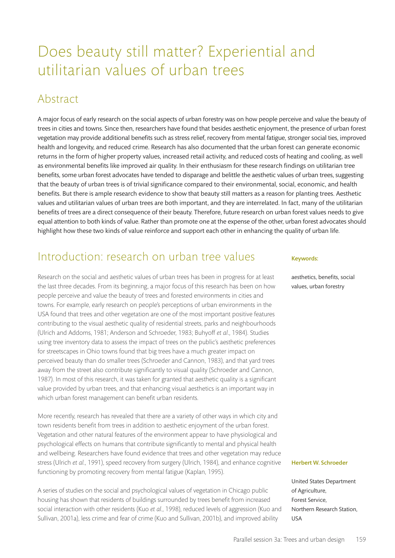# Does beauty still matter? Experiential and utilitarian values of urban trees

### Abstract

A major focus of early research on the social aspects of urban forestry was on how people perceive and value the beauty of trees in cities and towns. Since then, researchers have found that besides aesthetic enjoyment, the presence of urban forest vegetation may provide additional benefits such as stress relief, recovery from mental fatigue, stronger social ties, improved health and longevity, and reduced crime. Research has also documented that the urban forest can generate economic returns in the form of higher property values, increased retail activity, and reduced costs of heating and cooling, as well as environmental benefits like improved air quality. In their enthusiasm for these research findings on utilitarian tree benefits, some urban forest advocates have tended to disparage and belittle the aesthetic values of urban trees, suggesting that the beauty of urban trees is of trivial significance compared to their environmental, social, economic, and health benefits. But there is ample research evidence to show that beauty still matters as a reason for planting trees. Aesthetic values and utilitarian values of urban trees are both important, and they are interrelated. In fact, many of the utilitarian benefits of trees are a direct consequence of their beauty. Therefore, future research on urban forest values needs to give equal attention to both kinds of value. Rather than promote one at the expense of the other, urban forest advocates should highlight how these two kinds of value reinforce and support each other in enhancing the quality of urban life.

### Introduction: research on urban tree values

Research on the social and aesthetic values of urban trees has been in progress for at least the last three decades. From its beginning, a major focus of this research has been on how people perceive and value the beauty of trees and forested environments in cities and towns. For example, early research on people's perceptions of urban environments in the USA found that trees and other vegetation are one of the most important positive features contributing to the visual aesthetic quality of residential streets, parks and neighbourhoods (Ulrich and Addoms, 1981; Anderson and Schroeder, 1983; Buhyoff *et al*., 1984). Studies using tree inventory data to assess the impact of trees on the public's aesthetic preferences for streetscapes in Ohio towns found that big trees have a much greater impact on perceived beauty than do smaller trees (Schroeder and Cannon, 1983), and that yard trees away from the street also contribute significantly to visual quality (Schroeder and Cannon, 1987). In most of this research, it was taken for granted that aesthetic quality is a significant value provided by urban trees, and that enhancing visual aesthetics is an important way in which urban forest management can benefit urban residents.

More recently, research has revealed that there are a variety of other ways in which city and town residents benefit from trees in addition to aesthetic enjoyment of the urban forest. Vegetation and other natural features of the environment appear to have physiological and psychological effects on humans that contribute significantly to mental and physical health and wellbeing. Researchers have found evidence that trees and other vegetation may reduce stress (Ulrich *et al.,* 1991), speed recovery from surgery (Ulrich, 1984), and enhance cognitive functioning by promoting recovery from mental fatigue (Kaplan, 1995).

A series of studies on the social and psychological values of vegetation in Chicago public housing has shown that residents of buildings surrounded by trees benefit from increased social interaction with other residents (Kuo *et al.*, 1998), reduced levels of aggression (Kuo and Sullivan, 2001a), less crime and fear of crime (Kuo and Sullivan, 2001b), and improved ability

#### Keywords:

aesthetics, benefits, social values, urban forestry

#### Herbert W. Schroeder

United States Department of Agriculture, Forest Service, Northern Research Station, USA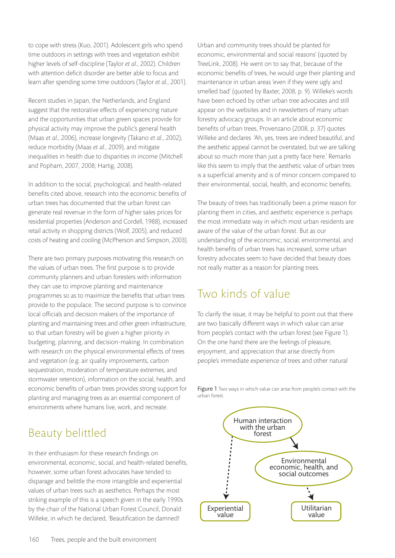to cope with stress (Kuo, 2001). Adolescent girls who spend time outdoors in settings with trees and vegetation exhibit higher levels of self-discipline (Taylor *et al*., 2002). Children with attention deficit disorder are better able to focus and learn after spending some time outdoors (Taylor *et al*., 2001).

Recent studies in Japan, the Netherlands, and England suggest that the restorative effects of experiencing nature and the opportunities that urban green spaces provide for physical activity may improve the public's general health (Maas *et al.,* 2006), increase longevity (Takano *et al*., 2002), reduce morbidity (Maas *et al.*, 2009), and mitigate inequalities in health due to disparities in income (Mitchell and Popham, 2007, 2008; Hartig, 2008).

In addition to the social, psychological, and health-related benefits cited above, research into the economic benefits of urban trees has documented that the urban forest can generate real revenue in the form of higher sales prices for residential properties (Anderson and Cordell, 1988), increased retail activity in shopping districts (Wolf, 2005), and reduced costs of heating and cooling (McPherson and Simpson, 2003).

There are two primary purposes motivating this research on the values of urban trees. The first purpose is to provide community planners and urban foresters with information they can use to improve planting and maintenance programmes so as to maximize the benefits that urban trees provide to the populace. The second purpose is to convince local officials and decision makers of the importance of planting and maintaining trees and other green infrastructure, so that urban forestry will be given a higher priority in budgeting, planning, and decision-making. In combination with research on the physical environmental effects of trees and vegetation (e.g. air quality improvements, carbon sequestration, moderation of temperature extremes, and stormwater retention), information on the social, health, and economic benefits of urban trees provides strong support for planting and managing trees as an essential component of environments where humans live, work, and recreate.

Urban and community trees should be planted for economic, environmental and social reasons' (quoted by TreeLink, 2008). He went on to say that, because of the economic benefits of trees, he would urge their planting and maintenance in urban areas 'even if they were ugly and smelled bad' (quoted by Baxter, 2008, p. 9). Willeke's words have been echoed by other urban tree advocates and still appear on the websites and in newsletters of many urban forestry advocacy groups. In an article about economic benefits of urban trees, Provenzano (2008, p. 37) quotes Willeke and declares 'Ah, yes, trees are indeed beautiful, and the aesthetic appeal cannot be overstated, but we are talking about so much more than just a pretty face here.' Remarks like this seem to imply that the aesthetic value of urban trees is a superficial amenity and is of minor concern compared to their environmental, social, health, and economic benefits.

The beauty of trees has traditionally been a prime reason for planting them in cities, and aesthetic experience is perhaps the most immediate way in which most urban residents are aware of the value of the urban forest. But as our understanding of the economic, social, environmental, and health benefits of urban trees has increased, some urban forestry advocates seem to have decided that beauty does not really matter as a reason for planting trees.

## Two kinds of value

To clarify the issue, it may be helpful to point out that there are two basically different ways in which value can arise from people's contact with the urban forest (see Figure 1). On the one hand there are the feelings of pleasure, enjoyment, and appreciation that arise directly from people's immediate experience of trees and other natural



Figure 1 Two ways in which value can arise from people's contact with the urban forest.

## Beauty belittled

In their enthusiasm for these research findings on environmental, economic, social, and health-related benefits, however, some urban forest advocates have tended to disparage and belittle the more intangible and experiential values of urban trees such as aesthetics. Perhaps the most striking example of this is a speech given in the early 1990s by the chair of the National Urban Forest Council, Donald Willeke, in which he declared, 'Beautification be damned!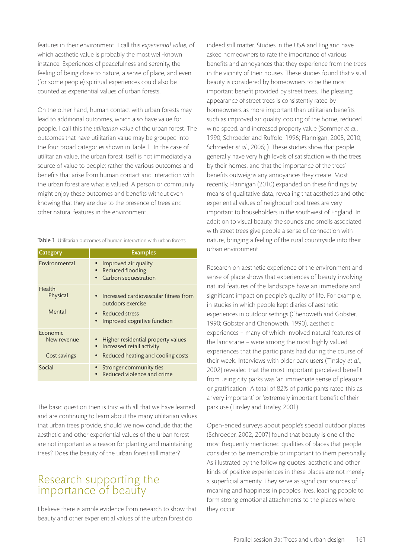features in their environment. I call this *experiential value*, of which aesthetic value is probably the most well-known instance. Experiences of peacefulness and serenity, the feeling of being close to nature, a sense of place, and even (for some people) spiritual experiences could also be counted as experiential values of urban forests.

On the other hand, human contact with urban forests may lead to additional outcomes, which also have value for people. I call this the *utilitarian value* of the urban forest. The outcomes that have utilitarian value may be grouped into the four broad categories shown in Table 1. In the case of utilitarian value, the urban forest itself is not immediately a source of value to people; rather the various outcomes and benefits that arise from human contact and interaction with the urban forest are what is valued. A person or community might enjoy these outcomes and benefits without even knowing that they are due to the presence of trees and other natural features in the environment.

Table 1 Utilitarian outcomes of human interaction with urban forests.

| Category                                | <b>Examples</b>                                                                                                   |
|-----------------------------------------|-------------------------------------------------------------------------------------------------------------------|
| Environmental                           | Improved air quality<br>Reduced flooding<br>Carbon sequestration                                                  |
| Health<br>Physical<br>Mental            | Increased cardiovascular fitness from<br>outdoors exercise<br>• Reduced stress<br>Improved cognitive function     |
| Economic<br>New revenue<br>Cost savings | Higher residential property values<br>Increased retail activity<br>$\bullet$<br>Reduced heating and cooling costs |
| Social                                  | Stronger community ties<br>Reduced violence and crime                                                             |

The basic question then is this: with all that we have learned and are continuing to learn about the many utilitarian values that urban trees provide, should we now conclude that the aesthetic and other experiential values of the urban forest are not important as a reason for planting and maintaining trees? Does the beauty of the urban forest still matter?

#### Research supporting the importance of beauty

I believe there is ample evidence from research to show that beauty and other experiential values of the urban forest do

indeed still matter. Studies in the USA and England have asked homeowners to rate the importance of various benefits and annoyances that they experience from the trees in the vicinity of their houses. These studies found that visual beauty is considered by homeowners to be the most important benefit provided by street trees. The pleasing appearance of street trees is consistently rated by homeowners as more important than utilitarian benefits such as improved air quality, cooling of the home, reduced wind speed, and increased property value (Sommer *et al.*, 1990; Schroeder and Ruffolo, 1996; Flannigan, 2005, 2010; Schroeder *et al.*, 2006; ). These studies show that people generally have very high levels of satisfaction with the trees by their homes, and that the importance of the trees' benefits outweighs any annoyances they create. Most recently, Flannigan (2010) expanded on these findings by means of qualitative data, revealing that aesthetics and other experiential values of neighbourhood trees are very important to householders in the southwest of England. In addition to visual beauty, the sounds and smells associated with street trees give people a sense of connection with nature, bringing a feeling of the rural countryside into their urban environment.

Research on aesthetic experience of the environment and sense of place shows that experiences of beauty involving natural features of the landscape have an immediate and significant impact on people's quality of life. For example, in studies in which people kept diaries of aesthetic experiences in outdoor settings (Chenoweth and Gobster, 1990; Gobster and Chenoweth, 1990), aesthetic experiences – many of which involved natural features of the landscape – were among the most highly valued experiences that the participants had during the course of their week. Interviews with older park users (Tinsley *et al.*, 2002) revealed that the most important perceived benefit from using city parks was 'an immediate sense of pleasure or gratification.' A total of 82% of participants rated this as a 'very important' or 'extremely important' benefit of their park use (Tinsley and Tinsley, 2001).

Open-ended surveys about people's special outdoor places (Schroeder, 2002, 2007) found that beauty is one of the most frequently mentioned qualities of places that people consider to be memorable or important to them personally. As illustrated by the following quotes, aesthetic and other kinds of positive experiences in these places are not merely a superficial amenity. They serve as significant sources of meaning and happiness in people's lives, leading people to form strong emotional attachments to the places where they occur.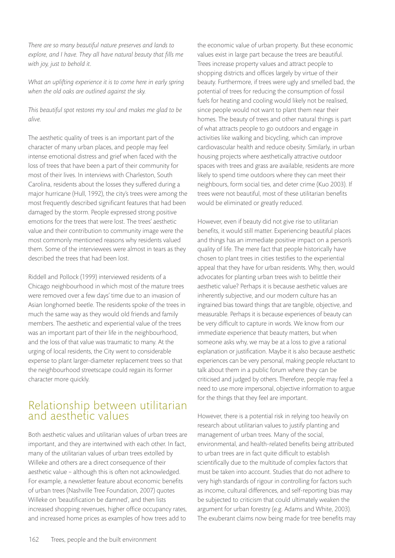*There are so many beautiful nature preserves and lands to explore, and I have. They all have natural beauty that fills me with joy, just to behold it.*

*What an uplifting experience it is to come here in early spring when the old oaks are outlined against the sky.*

*This beautiful spot restores my soul and makes me glad to be alive.*

The aesthetic quality of trees is an important part of the character of many urban places, and people may feel intense emotional distress and grief when faced with the loss of trees that have been a part of their community for most of their lives. In interviews with Charleston, South Carolina, residents about the losses they suffered during a major hurricane (Hull, 1992), the city's trees were among the most frequently described significant features that had been damaged by the storm. People expressed strong positive emotions for the trees that were lost. The trees' aesthetic value and their contribution to community image were the most commonly mentioned reasons why residents valued them. Some of the interviewees were almost in tears as they described the trees that had been lost.

Riddell and Pollock (1999) interviewed residents of a Chicago neighbourhood in which most of the mature trees were removed over a few days' time due to an invasion of Asian longhorned beetle. The residents spoke of the trees in much the same way as they would old friends and family members. The aesthetic and experiential value of the trees was an important part of their life in the neighbourhood, and the loss of that value was traumatic to many. At the urging of local residents, the City went to considerable expense to plant larger-diameter replacement trees so that the neighbourhood streetscape could regain its former character more quickly.

#### Relationship between utilitarian and aesthetic values

Both aesthetic values and utilitarian values of urban trees are important, and they are intertwined with each other. In fact, many of the utilitarian values of urban trees extolled by Willeke and others are a direct consequence of their aesthetic value – although this is often not acknowledged. For example, a newsletter feature about economic benefits of urban trees (Nashville Tree Foundation, 2007) quotes Willeke on 'beautification be damned', and then lists increased shopping revenues, higher office occupancy rates, and increased home prices as examples of how trees add to

the economic value of urban property. But these economic values exist in large part because the trees are beautiful. Trees increase property values and attract people to shopping districts and offices largely by virtue of their beauty. Furthermore, if trees were ugly and smelled bad, the potential of trees for reducing the consumption of fossil fuels for heating and cooling would likely not be realised, since people would not want to plant them near their homes. The beauty of trees and other natural things is part of what attracts people to go outdoors and engage in activities like walking and bicycling, which can improve cardiovascular health and reduce obesity. Similarly, in urban housing projects where aesthetically attractive outdoor spaces with trees and grass are available, residents are more likely to spend time outdoors where they can meet their neighbours, form social ties, and deter crime (Kuo 2003). If trees were not beautiful, most of these utilitarian benefits would be eliminated or greatly reduced.

However, even if beauty did not give rise to utilitarian benefits, it would still matter. Experiencing beautiful places and things has an immediate positive impact on a person's quality of life. The mere fact that people historically have chosen to plant trees in cities testifies to the experiential appeal that they have for urban residents. Why, then, would advocates for planting urban trees wish to belittle their aesthetic value? Perhaps it is because aesthetic values are inherently subjective, and our modern culture has an ingrained bias toward things that are tangible, objective, and measurable. Perhaps it is because experiences of beauty can be very difficult to capture in words. We know from our immediate experience that beauty matters, but when someone asks why, we may be at a loss to give a rational explanation or justification. Maybe it is also because aesthetic experiences can be very personal, making people reluctant to talk about them in a public forum where they can be criticised and judged by others. Therefore, people may feel a need to use more impersonal, objective information to argue for the things that they feel are important.

However, there is a potential risk in relying too heavily on research about utilitarian values to justify planting and management of urban trees. Many of the social, environmental, and health-related benefits being attributed to urban trees are in fact quite difficult to establish scientifically due to the multitude of complex factors that must be taken into account. Studies that do not adhere to very high standards of rigour in controlling for factors such as income, cultural differences, and self-reporting bias may be subjected to criticism that could ultimately weaken the argument for urban forestry (e.g. Adams and White, 2003). The exuberant claims now being made for tree benefits may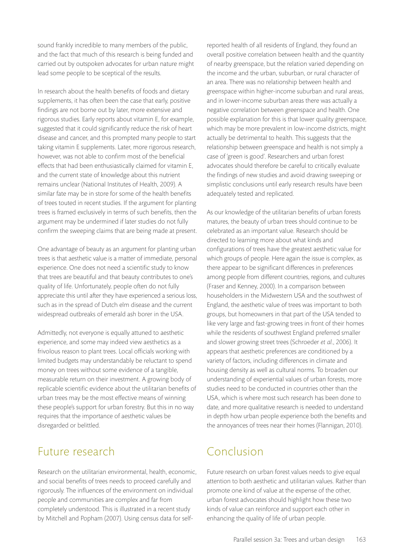sound frankly incredible to many members of the public, and the fact that much of this research is being funded and carried out by outspoken advocates for urban nature might lead some people to be sceptical of the results.

In research about the health benefits of foods and dietary supplements, it has often been the case that early, positive findings are not borne out by later, more extensive and rigorous studies. Early reports about vitamin E, for example, suggested that it could significantly reduce the risk of heart disease and cancer, and this prompted many people to start taking vitamin E supplements. Later, more rigorous research, however, was not able to confirm most of the beneficial effects that had been enthusiastically claimed for vitamin E, and the current state of knowledge about this nutrient remains unclear (National Institutes of Health, 2009). A similar fate may be in store for some of the health benefits of trees touted in recent studies. If the argument for planting trees is framed exclusively in terms of such benefits, then the argument may be undermined if later studies do not fully confirm the sweeping claims that are being made at present.

One advantage of beauty as an argument for planting urban trees is that aesthetic value is a matter of immediate, personal experience. One does not need a scientific study to know that trees are beautiful and that beauty contributes to one's quality of life. Unfortunately, people often do not fully appreciate this until after they have experienced a serious loss, such as in the spread of Dutch elm disease and the current widespread outbreaks of emerald ash borer in the USA.

Admittedly, not everyone is equally attuned to aesthetic experience, and some may indeed view aesthetics as a frivolous reason to plant trees. Local officials working with limited budgets may understandably be reluctant to spend money on trees without some evidence of a tangible, measurable return on their investment. A growing body of replicable scientific evidence about the utilitarian benefits of urban trees may be the most effective means of winning these people's support for urban forestry. But this in no way requires that the importance of aesthetic values be disregarded or belittled.

## Future research

Research on the utilitarian environmental, health, economic, and social benefits of trees needs to proceed carefully and rigorously. The influences of the environment on individual people and communities are complex and far from completely understood. This is illustrated in a recent study by Mitchell and Popham (2007). Using census data for selfreported health of all residents of England, they found an overall positive correlation between health and the quantity of nearby greenspace, but the relation varied depending on the income and the urban, suburban, or rural character of an area. There was no relationship between health and greenspace within higher-income suburban and rural areas, and in lower-income suburban areas there was actually a negative correlation between greenspace and health. One possible explanation for this is that lower quality greenspace, which may be more prevalent in low-income districts, might actually be detrimental to health. This suggests that the relationship between greenspace and health is not simply a case of 'green is good'. Researchers and urban forest advocates should therefore be careful to critically evaluate the findings of new studies and avoid drawing sweeping or simplistic conclusions until early research results have been adequately tested and replicated.

As our knowledge of the utilitarian benefits of urban forests matures, the beauty of urban trees should continue to be celebrated as an important value. Research should be directed to learning more about what kinds and configurations of trees have the greatest aesthetic value for which groups of people. Here again the issue is complex, as there appear to be significant differences in preferences among people from different countries, regions, and cultures (Fraser and Kenney, 2000). In a comparison between householders in the Midwestern USA and the southwest of England, the aesthetic value of trees was important to both groups, but homeowners in that part of the USA tended to like very large and fast-growing trees in front of their homes while the residents of southwest England preferred smaller and slower growing street trees (Schroeder *et al.*, 2006). It appears that aesthetic preferences are conditioned by a variety of factors, including differences in climate and housing density as well as cultural norms. To broaden our understanding of experiential values of urban forests, more studies need to be conducted in countries other than the USA, which is where most such research has been done to date, and more qualitative research is needed to understand in depth how urban people experience both the benefits and the annoyances of trees near their homes (Flannigan, 2010).

## Conclusion

Future research on urban forest values needs to give equal attention to both aesthetic and utilitarian values. Rather than promote one kind of value at the expense of the other, urban forest advocates should highlight how these two kinds of value can reinforce and support each other in enhancing the quality of life of urban people.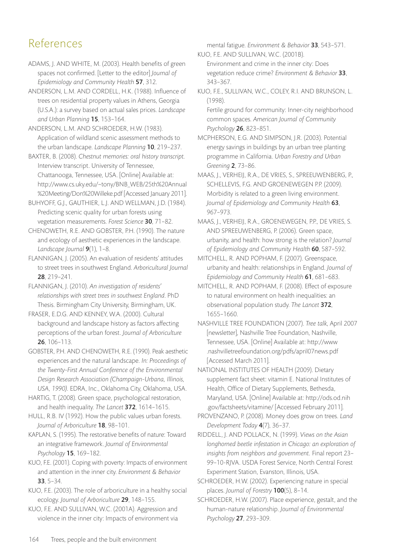## References

ADAMS, J. AND WHITE, M. (2003). Health benefits of green spaces not confirmed. [Letter to the editor] *Journal of Epidemiology and Community Health* 57, 312.

ANDERSON, L.M. AND CORDELL, H.K. (1988). Influence of trees on residential property values in Athens, Georgia (U.S.A.): a survey based on actual sales prices. *Landscape and Urban Planning* 15, 153–164.

ANDERSON, L.M. AND SCHROEDER, H.W. (1983). Application of wildland scenic assessment methods to the urban landscape. *Landscape Planning* 10, 219–237.

BAXTER, B. (2008). *Chestnut memories: oral history transcript*. Interview transcript. University of Tennessee, Chattanooga, Tennessee, USA. [Online] Available at: http://www.cs.uky.edu/~tony/BNB\_WEB/25th%20Annual %20Meeting/Don%20Willeke.pdf [Accessed January 2011].

BUHYOFF, G.J., GAUTHIER, L.J. AND WELLMAN, J.D. (1984). Predicting scenic quality for urban forests using vegetation measurements. *Forest Science* 30, 71–82.

CHENOWETH, R.E. AND GOBSTER, P.H. (1990). The nature and ecology of aesthetic experiences in the landscape. *Landscape Journal* 9(1), 1–8.

FLANNIGAN, J. (2005). An evaluation of residents' attitudes to street trees in southwest England. *Arboricultural Journal* 28, 219–241.

FLANNIGAN, J. (2010). *An investigation of residents' relationships with street trees in southwest England*. PhD Thesis. Birmingham City University, Birmingham, UK.

FRASER, E.D.G. AND KENNEY, W.A. (2000). Cultural background and landscape history as factors affecting perceptions of the urban forest. *Journal of Arboriculture* 26, 106–113.

GOBSTER, P.H. AND CHENOWETH, R.E. (1990). Peak aesthetic experiences and the natural landscape. *In: Proceedings of the Twenty-First Annual Conference of the Environmental Design Research Association (Champaign-Urbana, Illinois, USA, 1990)*. EDRA, Inc., Oklahoma City, Oklahoma, USA.

HARTIG, T. (2008). Green space, psychological restoration, and health inequality. *The Lancet* 372, 1614–1615.

HULL, R.B. IV (1992). How the public values urban forests. *Journal of Arboriculture* 18, 98–101.

KAPLAN, S. (1995). The restorative benefits of nature: Toward an integrative framework. *Journal of Environmental Psychology* 15, 169–182.

KUO, F.E. (2001). Coping with poverty: Impacts of environment and attention in the inner city. *Environment & Behavior* 33, 5–34.

KUO, F.E. (2003). The role of arboriculture in a healthy social ecology. *Journal of Arboriculture* 29, 148–155.

KUO, F.E. AND SULLIVAN, W.C. (2001A). Aggression and violence in the inner city: Impacts of environment via mental fatigue. *Environment & Behavior* 33, 543–571.

KUO, F.E. AND SULLIVAN, W.C. (2001B). Environment and crime in the inner city: Does vegetation reduce crime? *Environment & Behavior* 33, 343–367.

KUO, F.E., SULLIVAN, W.C., COLEY, R.I. AND BRUNSON, L. (1998).

Fertile ground for community: Inner-city neighborhood common spaces. *American Journal of Community Psychology* 26, 823–851.

MCPHERSON, E.G. AND SIMPSON, J.R. (2003). Potential energy savings in buildings by an urban tree planting programme in California. *Urban Forestry and Urban Greening* 2, 73–86.

MAAS, J., VERHEIJ, R.A., DE VRIES, S., SPREEUWENBERG, P., SCHELLEVIS, F.G. AND GROENEWEGEN P.P. (2009). Morbidity is related to a green living environment. *Journal of Epidemiology and Community Health* 63, 967–973.

MAAS, J., VERHEIJ, R.A., GROENEWEGEN, P.P., DE VRIES, S. AND SPREEUWENBERG, P. (2006). Green space, urbanity, and health: how strong is the relation? *Journal of Epidemiology and Community Health* 60, 587–592.

MITCHELL, R. AND POPHAM, F. (2007). Greenspace, urbanity and health: relationships in England. *Journal of Epidemiology and Community Health* 61, 681–683.

MITCHELL, R. AND POPHAM, F. (2008). Effect of exposure to natural environment on health inequalities: an observational population study. *The Lancet* 372, 1655–1660.

NASHVILLE TREE FOUNDATION (2007). *Tree talk*, April 2007 [newsletter], Nashville Tree Foundation, Nashville, Tennessee, USA. [Online] Available at: http://www .nashvilletreefoundation.org/pdfs/april07news.pdf [Accessed March 2011].

NATIONAL INSTITUTES OF HEALTH (2009). Dietary supplement fact sheet: vitamin E. National Institutes of Health, Office of Dietary Supplements, Bethesda, Maryland, USA. [Online] Available at: http://ods.od.nih .gov/factsheets/vitamine/ [Accessed February 2011].

PROVENZANO, P. (2008). Money does grow on trees. *Land Development Today* 4(7), 36–37.

RIDDELL, J. AND POLLACK, N. (1999). *Views on the Asian longhorned beetle infestation in Chicago: an exploration of insights from neighbors and government.* Final report 23– 99–10-RJVA. USDA Forest Service, North Central Forest Experiment Station, Evanston, Illinois, USA.

SCHROEDER, H.W. (2002). Experiencing nature in special places. *Journal of Forestry* 100(5), 8–14.

SCHROEDER, H.W. (2007). Place experience, gestalt, and the human-nature relationship. *Journal of Environmental Psychology* 27, 293–309.